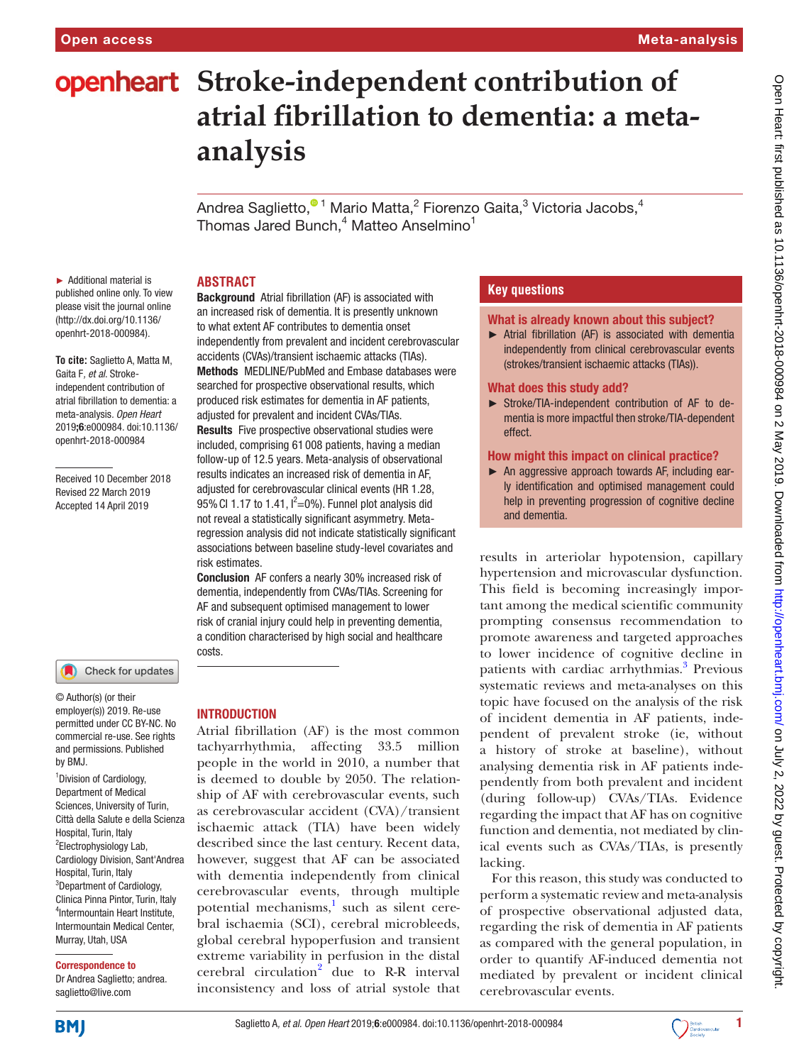# **openheart** Stroke-independent contribution of **atrial fibrillation to dementia: a metaanalysis**

Andrea Saglietto[,](http://orcid.org/0000-0001-9475-1507) $^{\textcolor{red}{\textbullet 1}}$  Mario Matta, $^2$  Fiorenzo Gaita, $^3$  Victoria Jacobs, $^4$ Thomas Jared Bunch, $^4$  Matteo Anselmino $^1$ 

## **Abstract**

► Additional material is published online only. To view please visit the journal online [\(http://dx.doi.org/10.1136/](http://dx.doi.org/10.1136/openhrt-2018-000984) [openhrt-2018-000984](http://dx.doi.org/10.1136/openhrt-2018-000984)).

**To cite:** Saglietto A, Matta M, Gaita F*, et al*. Strokeindependent contribution of atrial fibrillation to dementia: a meta-analysis*. Open Heart* 2019;6:e000984. doi:10.1136/ openhrt-2018-000984

Received 10 December 2018 Revised 22 March 2019 Accepted 14 April 2019



© Author(s) (or their employer(s)) 2019. Re-use permitted under CC BY-NC. No commercial re-use. See rights and permissions. Published by BMJ.

<sup>1</sup> Division of Cardiology, Department of Medical Sciences, University of Turin, Città della Salute e della Scienza Hospital, Turin, Italy <sup>2</sup>Electrophysiology Lab, Cardiology Division, Sant'Andrea Hospital, Turin, Italy <sup>3</sup>Department of Cardiology, Clinica Pinna Pintor, Turin, Italy 4 Intermountain Heart Institute, Intermountain Medical Center, Murray, Utah, USA

#### Correspondence to

Dr Andrea Saglietto; andrea. saglietto@live.com

Background Atrial fibrillation (AF) is associated with an increased risk of dementia. It is presently unknown to what extent AF contributes to dementia onset independently from prevalent and incident cerebrovascular accidents (CVAs)/transient ischaemic attacks (TIAs). Methods MEDLINE/PubMed and Embase databases were searched for prospective observational results, which produced risk estimates for dementia in AF patients, adjusted for prevalent and incident CVAs/TIAs. Results Five prospective observational studies were included, comprising 61 008 patients, having a median follow-up of 12.5 years. Meta-analysis of observational results indicates an increased risk of dementia in AF, adjusted for cerebrovascular clinical events (HR 1.28, 95% CI 1.17 to 1.41,  $I^2=0$ %). Funnel plot analysis did not reveal a statistically significant asymmetry. Metaregression analysis did not indicate statistically significant associations between baseline study-level covariates and risk estimates.

Conclusion AF confers a nearly 30% increased risk of dementia, independently from CVAs/TIAs. Screening for AF and subsequent optimised management to lower risk of cranial injury could help in preventing dementia, a condition characterised by high social and healthcare costs.

## **INTRODUCTION**

Atrial fibrillation (AF) is the most common tachyarrhythmia, affecting 33.5 million people in the world in 2010, a number that is deemed to double by 2050. The relationship of AF with cerebrovascular events, such as cerebrovascular accident (CVA)/transient ischaemic attack (TIA) have been widely described since the last century. Recent data, however, suggest that AF can be associated with dementia independently from clinical cerebrovascular events, through multiple potential mechanisms,<sup>1</sup> such as silent cerebral ischaemia (SCI), cerebral microbleeds, global cerebral hypoperfusion and transient extreme variability in perfusion in the distal cerebral circulation<sup>[2](#page-4-1)</sup> due to R-R interval inconsistency and loss of atrial systole that

## **Key questions**

#### What is already known about this subject?

► Atrial fibrillation (AF) is associated with dementia independently from clinical cerebrovascular events (strokes/transient ischaemic attacks (TIAs)).

#### What does this study add?

► Stroke/TIA-independent contribution of AF to dementia is more impactful then stroke/TIA-dependent effect.

#### How might this impact on clinical practice?

► An aggressive approach towards AF, including early identification and optimised management could help in preventing progression of cognitive decline and dementia.

results in arteriolar hypotension, capillary hypertension and microvascular dysfunction. This field is becoming increasingly important among the medical scientific community prompting consensus recommendation to promote awareness and targeted approaches to lower incidence of cognitive decline in patients with cardiac arrhythmias.<sup>3</sup> Previous systematic reviews and meta-analyses on this topic have focused on the analysis of the risk of incident dementia in AF patients, independent of prevalent stroke (ie, without a history of stroke at baseline), without analysing dementia risk in AF patients independently from both prevalent and incident (during follow-up) CVAs/TIAs. Evidence regarding the impact that AF has on cognitive function and dementia, not mediated by clinical events such as CVAs/TIAs, is presently lacking.

For this reason, this study was conducted to perform a systematic review and meta-analysis of prospective observational adjusted data, regarding the risk of dementia in AF patients as compared with the general population, in order to quantify AF-induced dementia not mediated by prevalent or incident clinical cerebrovascular events.



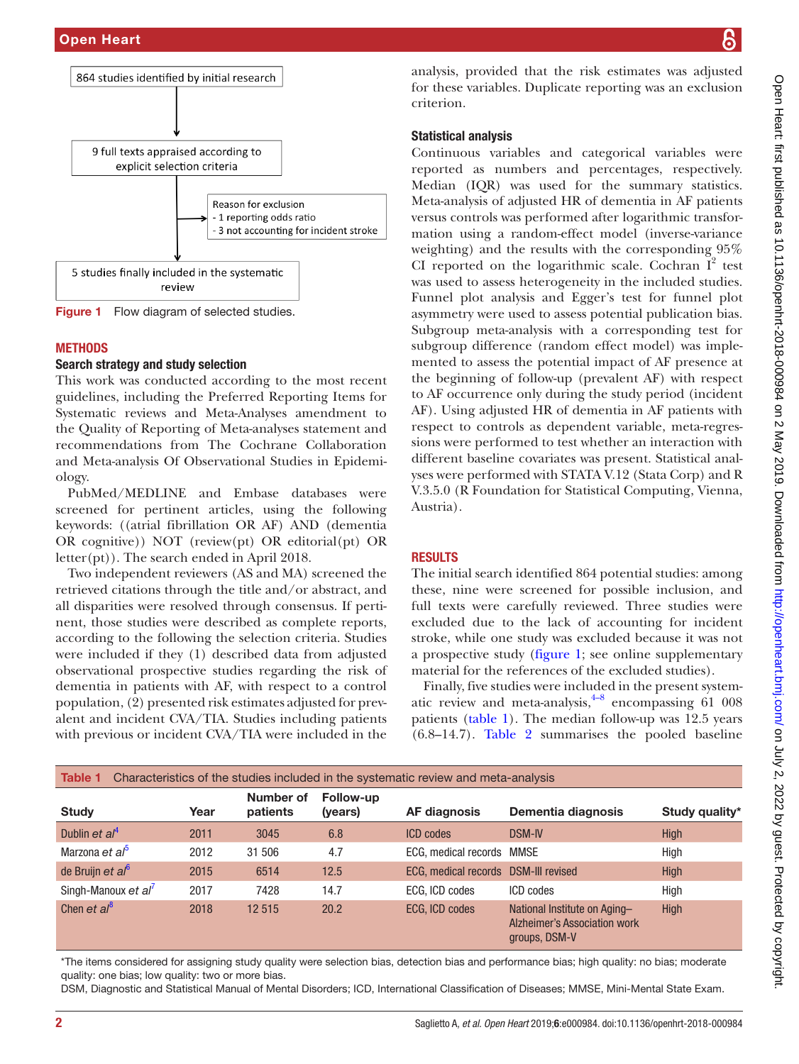

<span id="page-1-0"></span>Figure 1 Flow diagram of selected studies.

## **METHODS**

## Search strategy and study selection

This work was conducted according to the most recent guidelines, including the Preferred Reporting Items for Systematic reviews and Meta-Analyses amendment to the Quality of Reporting of Meta-analyses statement and recommendations from The Cochrane Collaboration and Meta-analysis Of Observational Studies in Epidemiology.

PubMed/MEDLINE and Embase databases were screened for pertinent articles, using the following keywords: ((atrial fibrillation OR AF) AND (dementia OR cognitive)) NOT (review(pt) OR editorial(pt) OR letter(pt)). The search ended in April 2018.

Two independent reviewers (AS and MA) screened the retrieved citations through the title and/or abstract, and all disparities were resolved through consensus. If pertinent, those studies were described as complete reports, according to the following the selection criteria. Studies were included if they (1) described data from adjusted observational prospective studies regarding the risk of dementia in patients with AF, with respect to a control population, (2) presented risk estimates adjusted for prevalent and incident CVA/TIA. Studies including patients with previous or incident CVA/TIA were included in the

analysis, provided that the risk estimates was adjusted for these variables. Duplicate reporting was an exclusion criterion.

## Statistical analysis

Continuous variables and categorical variables were reported as numbers and percentages, respectively. Median (IQR) was used for the summary statistics. Meta-analysis of adjusted HR of dementia in AF patients versus controls was performed after logarithmic transformation using a random-effect model (inverse-variance weighting) and the results with the corresponding 95% CI reported on the logarithmic scale. Cochran  $I^2$  test was used to assess heterogeneity in the included studies. Funnel plot analysis and Egger's test for funnel plot asymmetry were used to assess potential publication bias. Subgroup meta-analysis with a corresponding test for subgroup difference (random effect model) was implemented to assess the potential impact of AF presence at the beginning of follow-up (prevalent AF) with respect to AF occurrence only during the study period (incident AF). Using adjusted HR of dementia in AF patients with respect to controls as dependent variable, meta-regressions were performed to test whether an interaction with different baseline covariates was present. Statistical analyses were performed with STATA V.12 (Stata Corp) and R V.3.5.0 (R Foundation for Statistical Computing, Vienna, Austria).

## **RESULTS**

The initial search identified 864 potential studies: among these, nine were screened for possible inclusion, and full texts were carefully reviewed. Three studies were excluded due to the lack of accounting for incident stroke, while one study was excluded because it was not a prospective study [\(figure](#page-1-0) 1; see [online supplementary](https://dx.doi.org/10.1136/openhrt-2018-000984)  [material](https://dx.doi.org/10.1136/openhrt-2018-000984) for the references of the excluded studies).

Finally, five studies were included in the present systematic review and meta-analysis, $4-8$  encompassing 61 008 patients [\(table](#page-1-1) 1). The median follow-up was 12.5 years (6.8–14.7). [Table](#page-2-0) 2 summarises the pooled baseline

<span id="page-1-1"></span>

| Characteristics of the studies included in the systematic review and meta-analysis<br>Table 1 |      |                       |                      |                                      |                                                                                      |                |  |
|-----------------------------------------------------------------------------------------------|------|-----------------------|----------------------|--------------------------------------|--------------------------------------------------------------------------------------|----------------|--|
| <b>Study</b>                                                                                  | Year | Number of<br>patients | Follow-up<br>(years) | AF diagnosis                         | Dementia diagnosis                                                                   | Study quality* |  |
| Dublin et $al^4$                                                                              | 2011 | 3045                  | 6.8                  | <b>ICD</b> codes                     | <b>DSM-IV</b>                                                                        | <b>High</b>    |  |
| Marzona et al <sup>5</sup>                                                                    | 2012 | 31 506                | 4.7                  | ECG, medical records MMSE            |                                                                                      | High           |  |
| de Bruijn et al <sup>6</sup>                                                                  | 2015 | 6514                  | 12.5                 | ECG, medical records DSM-III revised |                                                                                      | <b>High</b>    |  |
| Singh-Manoux et al'                                                                           | 2017 | 7428                  | 14.7                 | ECG, ICD codes                       | ICD codes                                                                            | High           |  |
| Chen et $al^8$                                                                                | 2018 | 12515                 | 20.2                 | ECG, ICD codes                       | National Institute on Aging-<br><b>Alzheimer's Association work</b><br>groups, DSM-V | <b>High</b>    |  |

\*The items considered for assigning study quality were selection bias, detection bias and performance bias; high quality: no bias; moderate quality: one bias; low quality: two or more bias.

DSM, Diagnostic and Statistical Manual of Mental Disorders; ICD, International Classification of Diseases; MMSE, Mini-Mental State Exam.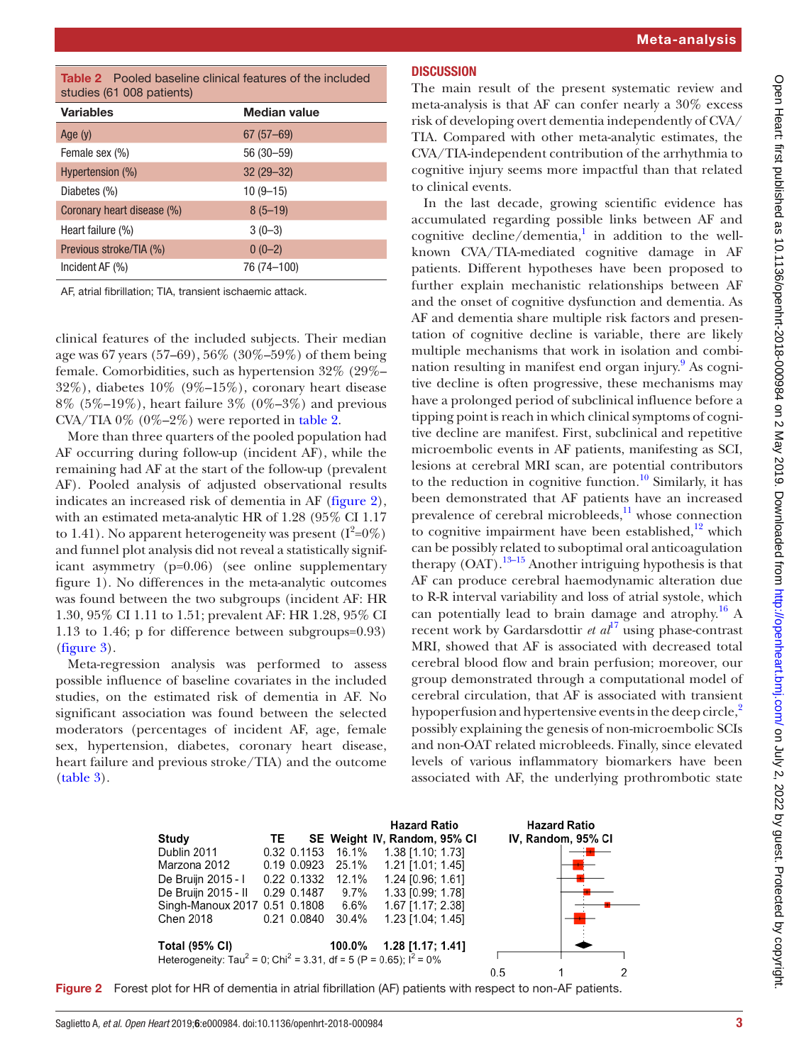<span id="page-2-0"></span>

| <b>Table 2</b> Pooled baseline clinical features of the included |  |  |
|------------------------------------------------------------------|--|--|
| studies (61 008 patients)                                        |  |  |

| <b>Variables</b>           | <b>Median value</b> |
|----------------------------|---------------------|
| Age $(y)$                  | $67(57-69)$         |
| Female sex (%)             | 56 (30 - 59)        |
| Hypertension (%)           | $32(29 - 32)$       |
| Diabetes (%)               | $10(9-15)$          |
| Coronary heart disease (%) | $8(5-19)$           |
| Heart failure (%)          | $3(0-3)$            |
| Previous stroke/TIA (%)    | $0(0-2)$            |
| Incident AF (%)            | 76 (74-100)         |

AF, atrial fibrillation; TIA, transient ischaemic attack.

clinical features of the included subjects. Their median age was 67 years (57–69), 56% (30%–59%) of them being female. Comorbidities, such as hypertension 32% (29%– 32%), diabetes 10% (9%–15%), coronary heart disease 8% (5%–19%), heart failure 3% (0%–3%) and previous CVA/TIA  $0\%$  ( $0\%$ – $2\%$ ) were reported in [table](#page-2-0) 2.

More than three quarters of the pooled population had AF occurring during follow-up (incident AF), while the remaining had AF at the start of the follow-up (prevalent AF). Pooled analysis of adjusted observational results indicates an increased risk of dementia in AF [\(figure](#page-2-1) 2), with an estimated meta-analytic HR of 1.28 (95% CI 1.17 to 1.41). No apparent heterogeneity was present  $(I^2=0\%)$ and funnel plot analysis did not reveal a statistically significant asymmetry (p=0.06) (see [online supplementary](https://dx.doi.org/10.1136/openhrt-2018-000984) [figure 1](https://dx.doi.org/10.1136/openhrt-2018-000984)). No differences in the meta-analytic outcomes was found between the two subgroups (incident AF: HR 1.30, 95% CI 1.11 to 1.51; prevalent AF: HR 1.28, 95% CI 1.13 to 1.46; p for difference between subgroups=0.93) ([figure](#page-3-0) 3).

Meta-regression analysis was performed to assess possible influence of baseline covariates in the included studies, on the estimated risk of dementia in AF. No significant association was found between the selected moderators (percentages of incident AF, age, female sex, hypertension, diabetes, coronary heart disease, heart failure and previous stroke/TIA) and the outcome ([table](#page-3-1) 3).

## **DISCUSSION**

The main result of the present systematic review and meta-analysis is that AF can confer nearly a 30% excess risk of developing overt dementia independently of CVA/ TIA. Compared with other meta-analytic estimates, the CVA/TIA-independent contribution of the arrhythmia to cognitive injury seems more impactful than that related to clinical events.

In the last decade, growing scientific evidence has accumulated regarding possible links between AF and cognitive decline/dementia, $\frac{1}{1}$  $\frac{1}{1}$  $\frac{1}{1}$  in addition to the wellknown CVA/TIA-mediated cognitive damage in AF patients. Different hypotheses have been proposed to further explain mechanistic relationships between AF and the onset of cognitive dysfunction and dementia. As AF and dementia share multiple risk factors and presentation of cognitive decline is variable, there are likely multiple mechanisms that work in isolation and combi-nation resulting in manifest end organ injury.<sup>[9](#page-4-8)</sup> As cognitive decline is often progressive, these mechanisms may have a prolonged period of subclinical influence before a tipping point is reach in which clinical symptoms of cognitive decline are manifest. First, subclinical and repetitive microembolic events in AF patients, manifesting as SCI, lesions at cerebral MRI scan, are potential contributors to the reduction in cognitive function.<sup>10</sup> Similarly, it has been demonstrated that AF patients have an increased prevalence of cerebral microbleeds, $\frac{11}{11}$  whose connection to cognitive impairment have been established, $12$  which can be possibly related to suboptimal oral anticoagulation therapy  $(OAT)$ .<sup>13–15</sup> Another intriguing hypothesis is that AF can produce cerebral haemodynamic alteration due to R-R interval variability and loss of atrial systole, which can potentially lead to brain damage and atrophy.<sup>16</sup> A recent work by Gardarsdottir *et al*<sup>[17](#page-4-14)</sup> using phase-contrast MRI, showed that AF is associated with decreased total cerebral blood flow and brain perfusion; moreover, our group demonstrated through a computational model of cerebral circulation, that AF is associated with transient hypoperfusion and hypertensive events in the deep circle,<sup>[2](#page-4-1)</sup> possibly explaining the genesis of non-microembolic SCIs and non-OAT related microbleeds. Finally, since elevated levels of various inflammatory biomarkers have been associated with AF, the underlying prothrombotic state

<span id="page-2-1"></span>

Figure 2 Forest plot for HR of dementia in atrial fibrillation (AF) patients with respect to non-AF patients.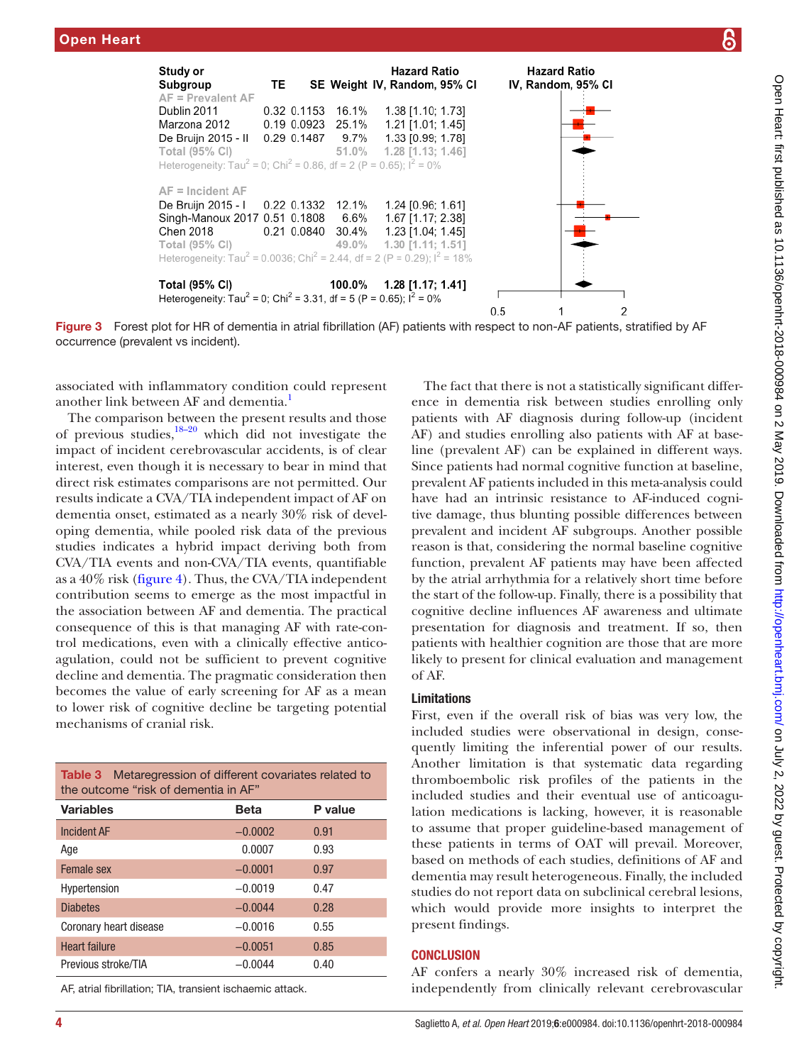

Figure 3 Forest plot for HR of dementia in atrial fibrillation (AF) patients with respect to non-AF patients, stratified by AF occurrence (prevalent vs incident).

associated with inflammatory condition could represent another link between AF and dementia.<sup>1</sup>

The comparison between the present results and those of previous studies, $18-20$  which did not investigate the impact of incident cerebrovascular accidents, is of clear interest, even though it is necessary to bear in mind that direct risk estimates comparisons are not permitted. Our results indicate a CVA/TIA independent impact of AF on dementia onset, estimated as a nearly 30% risk of developing dementia, while pooled risk data of the previous studies indicates a hybrid impact deriving both from CVA/TIA events and non-CVA/TIA events, quantifiable as a 40% risk ([figure](#page-4-16) 4). Thus, the CVA/TIA independent contribution seems to emerge as the most impactful in the association between AF and dementia. The practical consequence of this is that managing AF with rate-control medications, even with a clinically effective anticoagulation, could not be sufficient to prevent cognitive decline and dementia. The pragmatic consideration then becomes the value of early screening for AF as a mean to lower risk of cognitive decline be targeting potential mechanisms of cranial risk.

<span id="page-3-1"></span>

| <b>Table 3</b> Metaregression of different covariates related to<br>the outcome "risk of dementia in AF" |           |         |  |  |
|----------------------------------------------------------------------------------------------------------|-----------|---------|--|--|
| <b>Variables</b>                                                                                         | Beta      | P value |  |  |
| <b>Incident AF</b>                                                                                       | $-0.0002$ | 0.91    |  |  |
| Age                                                                                                      | 0.0007    | 0.93    |  |  |
| Female sex                                                                                               | $-0.0001$ | 0.97    |  |  |
| Hypertension                                                                                             | $-0.0019$ | 0.47    |  |  |
| <b>Diabetes</b>                                                                                          | $-0.0044$ | 0.28    |  |  |
| Coronary heart disease                                                                                   | $-0.0016$ | 0.55    |  |  |
| <b>Heart failure</b>                                                                                     | $-0.0051$ | 0.85    |  |  |
| Previous stroke/TIA                                                                                      | $-0.0044$ | 0.40    |  |  |

AF, atrial fibrillation; TIA, transient ischaemic attack.

<span id="page-3-0"></span>The fact that there is not a statistically significant difference in dementia risk between studies enrolling only patients with AF diagnosis during follow-up (incident AF) and studies enrolling also patients with AF at baseline (prevalent AF) can be explained in different ways. Since patients had normal cognitive function at baseline, prevalent AF patients included in this meta-analysis could have had an intrinsic resistance to AF-induced cognitive damage, thus blunting possible differences between prevalent and incident AF subgroups. Another possible reason is that, considering the normal baseline cognitive function, prevalent AF patients may have been affected by the atrial arrhythmia for a relatively short time before the start of the follow-up. Finally, there is a possibility that cognitive decline influences AF awareness and ultimate presentation for diagnosis and treatment. If so, then patients with healthier cognition are those that are more likely to present for clinical evaluation and management of AF.

#### Limitations

First, even if the overall risk of bias was very low, the included studies were observational in design, consequently limiting the inferential power of our results. Another limitation is that systematic data regarding thromboembolic risk profiles of the patients in the included studies and their eventual use of anticoagulation medications is lacking, however, it is reasonable to assume that proper guideline-based management of these patients in terms of OAT will prevail. Moreover, based on methods of each studies, definitions of AF and dementia may result heterogeneous. Finally, the included studies do not report data on subclinical cerebral lesions, which would provide more insights to interpret the present findings.

#### **CONCLUSION**

AF confers a nearly 30% increased risk of dementia, independently from clinically relevant cerebrovascular